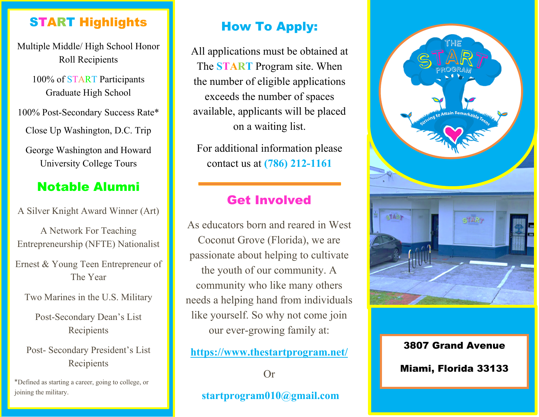#### START Highlights

Multiple Middle/ High School Honor Roll Recipients

> 100% of START Participants Graduate High School

100% Post-Secondary Success Rate\*

Close Up Washington, D.C. Trip

George Washington and Howard University College Tours

### Notable Alumni

A Silver Knight Award Winner (Art)

A Network For Teaching Entrepreneurship (NFTE) Nationalist Ernest & Young Teen Entrepreneur of The Year

Two Marines in the U.S. Military

Post-Secondary Dean's List Recipients

Post- Secondary President's List Recipients

\*Defined as starting a career, going to college, or joining the military.

# How To Apply:

All applications must be obtained at The **START** Program site. When the number of eligible applications exceeds the number of spaces available, applicants will be placed on a waiting list.

For additional information please contact us at **(786) 212-1161**

### Get Involved

As educators born and reared in West Coconut Grove (Florida), we are passionate about helping to cultivate the youth of our community. A community who like many others needs a helping hand from individuals like yourself. So why not come join our ever-growing family at:

**<https://www.thestartprogram.net/>**

Or

**startprogram010@gmail.com**



3807 Grand Avenue Miami, Florida 33133